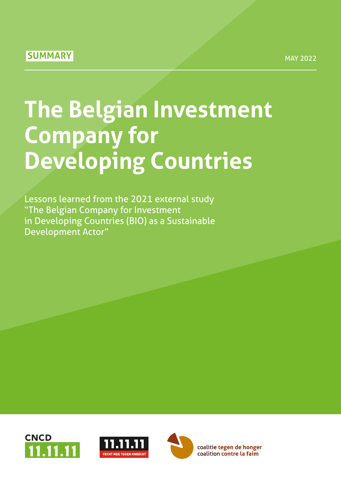# **SUMMARY**

# **The Belgian Investment Company for Developing Countries**

Lessons learned from the 2021 external study "The Belgian Company for Investment in Developing Countries (BIO) as a Sustainable Development Actor"





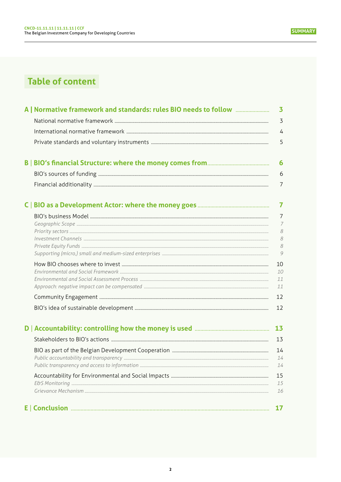# **Table of content**

| $\overline{\mathbf{3}}$ |
|-------------------------|
| 3                       |
| 4                       |
| 5                       |
| 6                       |
| 6                       |
| $7\overline{ }$         |
| $\overline{7}$          |
| $\overline{7}$          |
| $\overline{7}$          |
| 8<br>8                  |
| 8                       |
| 9                       |
| 10                      |
| 10                      |
| 11<br>11                |
| 12                      |
| 12                      |
| 13                      |
| 13                      |
| 14                      |
| 14                      |
| 14                      |
| 15                      |
| 15                      |
| 16                      |
| 17                      |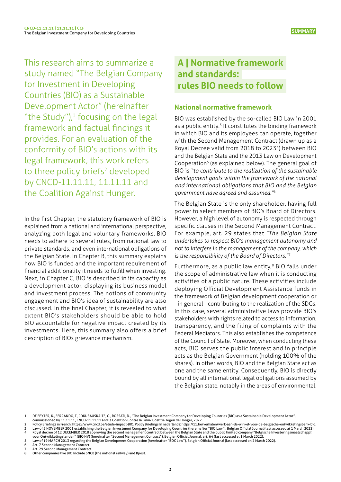The Belgian Investment Company for Developing Countries

<span id="page-2-0"></span>**CNCD-11.11.11 | 11.11.11 | CCF**

study named "The Belgian Company for Investment in Developing Countries (BIO) as a Sustainable Development Actor" (hereinafter "the Study"), $1$  focusing on the legal framework and factual findings it provides. For an evaluation of the conformity of BIO's actions with its legal framework, this work refers to three policy briefs<sup>2</sup> developed by CNCD-11.11.11, 11.11.11 and the Coalition Against Hunger.

In the first Chapter, the statutory framework of BIO is explained from a national and international perspective, analyzing both legal and voluntary frameworks. BIO needs to adhere to several rules, from national law to private standards, and even international obligations of the Belgian State. In Chapter B, this summary explains how BIO is funded and the important requirement of financial additionality it needs to fulfill when investing. Next, in Chapter C, BIO is described in its capacity as a development actor, displaying its business model and investment process. The notions of community engagement and BIO's idea of sustainability are also discussed. In the final Chapter, it is revealed to what extent BIO's stakeholders should be able to hold BIO accountable for negative impact created by its investments. Here, this summary also offers a brief description of BIOs grievance mechanism.

# **A | Normative framework and standards: rules BIO needs to follow**

#### **National normative framework**

BIO was established by the so-called BIO Law in 2001 as a public entity.<sup>3</sup> It constitutes the binding framework in which BIO and its employees can operate, together with the Second Management Contract (drawn up as a Royal Decree valid from 2018 to 2023<sup>4</sup>) between BIO and the Belgian State and the 2013 Law on Development Cooperation<sup>5</sup> (as explained below). The general goal of BIO is *"to contribute to the realization of the sustainable development goals within the framework of the national and international obligations that BIO and the Belgian government have agreed and assumed."*<sup>6</sup>

The Belgian State is the only shareholder, having full power to select members of BIO's Board of Directors. However, a high level of autonomy is respected through specific clauses in the Second Management Contract. For example, art. 29 states that *"The Belgian State undertakes to respect BIO's management autonomy and not to interfere in the management of the company, which is the responsibility of the Board of Directors."*<sup>7</sup>

Furthermore, as a public law entity,<sup>8</sup> BIO falls under the scope of administrative law when it is conducting activities of a public nature. These activities include deploying Official Development Assistance funds in the framework of Belgian development cooperation or - in general - contributing to the realization of the SDGs. In this case, several administrative laws provide BIO's stakeholders with rights related to access to information, transparency, and the filing of complaints with the Federal Mediators. This also establishes the competence of the Council of State. Moreover, when conducting these acts, BIO serves the public interest and in principle acts as the Belgian Government (holding 100% of the shares). In other words, BIO and the Belgian State act as one and the same entity. Consequently, BIO is directly bound by all international legal obligations assumed by the Belgian state, notably in the areas of environmental,

**6** Art. 7 Second Management Contract.<br> **7** Art. 29 Second Management Contract

<sup>1</sup> [DE FEYTER, K., FERRANDO, T., JOKUBAUSKAITE, G., ROSSATI, D., "The Belgian Investment Company for Developing Countries \(BIO\) as a Sustainable Development Actor",](https://www.uantwerpen.be/en/research-groups/iob/news-and-calendar/bio-april2022/ ) 

[commissioned by 11.11.11, CNCD-11.11.11 and la Coalition Contre la Faim/ Coalitie Tegen de Honger, 2022.](https://www.uantwerpen.be/en/research-groups/iob/news-and-calendar/bio-april2022/ )<br>Delicy Briefings in French: [https://www.cncd.be/etude-impact-BIO.](https://www.cncd.be/etude-impact-BIO) Policy Briefings in nederlands: https://11.be/verha

Law of 3 NOVEMBER 2001 [establishing](https://www.ejustice.just.fgov.be/cgi_loi/change_lg_2.pl?language=nl&nm=2001015130&la=N) the Belgian Investment Company for Developing Countries (hereinafter "BIO Law"), Belgian Official Journal (last accessed at 1 March 2022).<br>Royal decree of 12 DECEMBER 2018 approving the

<sup>5</sup> Law of 19 MARCH 2013 regarding the Belgian [Development](https://www.ejustice.just.fgov.be/cgi_loi/change_lg.pl?language=nl&la=N&cn=2013031906&table_name=wet) Cooperation (hereinafter "BDC Law"), Belgian Official Journal (last accessed on 2 March 2022).

Art. 29 Second Management Contract

Other companies like BIO include SNCB (the national railway) and Bpost.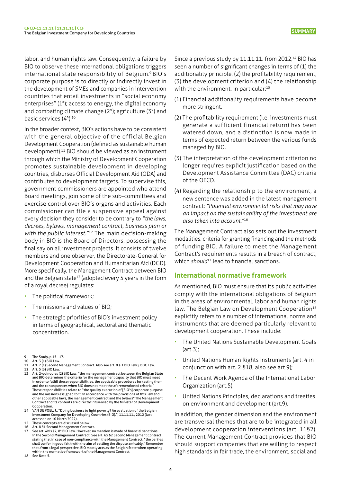<span id="page-3-0"></span>labor, and human rights law. Consequently, a failure by BIO to observe these international obligations triggers international state responsibility of Belgium.<sup>9</sup> BIO's corporate purpose is to directly or indirectly invest in the development of SMEs and companies in intervention countries that entail investments in "social economy enterprises" (1°); access to energy, the digital economy and combating climate change (2°); agriculture (3°) and basic services (4°).<sup>10</sup>

In the broader context, BIO's actions have to be consistent with the general objective of the official Belgian Development Cooperation (defined as sustainable human development).11 BIO should be viewed as an instrument through which the Ministry of Development Cooperation promotes sustainable development in developing countries, disburses Official Development Aid (ODA) and contributes to development targets. To supervise this, government commissioners are appointed who attend Board meetings, join some of the sub-committees and exercise control over BIO's organs and activities. Each commissioner can file a suspensive appeal against every decision they consider to be contrary to *"the laws, decrees, bylaws, management contract, business plan or with the public interest."*12 The main decision-making body in BIO is the Board of Directors, possessing the final say on all investment projects. It consists of twelve members and one observer, the Directorate-General for Development Cooperation and Humanitarian Aid (DGD). More specifically, the Management Contract between BIO and the Belgian state<sup>13</sup> (adopted every 5 years in the form of a royal decree) regulates:

- The political framework;
- The missions and values of BIO;
- The strategic priorities of BIO's investment policy in terms of geographical, sectoral and thematic concentration.
- 9 The Study, p 15 17. 10 Art. 3 (1) BIO Law.
- 11 Art. 7 (1) Second Management Contract. Also see art. 8 § 1 BIO Law j. BDC Law.<br>12 Art 5 (3) BIO Law
- Art. 5 (3) BIO Law
- 13 Art. 2-quinquies (2) BIO Law: "the management contract between the Belgian State and BIO determines the criteria for the management capacity that BIO must meet in order to fulfill these responsibilities, the applicable procedures for testing them and the consequences when BIO does not meet the aforementioned criteria. These responsibilities relate to "the quality execution of [BIO's] corporate purpose and the missions assigned to it, in accordance with the provisions of this Law and other applicable laws, the management contract and the bylaws".The Management Contract and its contents are directly influenced by the Minister of Development Cooperation.
- 14 VAN DE POEL, J., "Doing business to fight poverty? An [evaluation](https://www.academia.edu/3834257/Doing_business_to_fight_poverty_An_evaluation_of_the_Belgian_Investment_Company_for_Developing_Countries) of the Belgian [Investment Company for Developing Countries \(BIO\).", 11.11.11., 2012 \(last](https://www.academia.edu/3834257/Doing_business_to_fight_poverty_An_evaluation_of_the_Belgian_Investment_Company_for_Developing_Countries)  [accessed on 10 March 2022\).](https://www.academia.edu/3834257/Doing_business_to_fight_poverty_An_evaluation_of_the_Belgian_Investment_Company_for_Developing_Countries)  15 These concepts are discussed below.
- 
- 16 Art. 8 §1 Second Management Contract.<br>17 See art. 4bis §2, 8° BIO Law. However, no mention is made of financial sanctions in the Second Management Contract. See art. 65 §2 Second Management Contract stating that in case of non-compliance with the Management Contract, "the parties shall confer in good faith with the aim of settling the dispute amicably." Remember that, from a legal perspective, BIO mostly acts as the Belgian State when operating

within the normative framework of the Management Contract. 18 See Note 5

Since a previous study by 11.11.11. from 2012,<sup>14</sup> BIO has seen a number of significant changes in terms of (1) the additionality principle, (2) the profitability requirement, (3) the development criterion and (4) the relationship with the environment, in particular:<sup>15</sup>

- (1) Financial additionality requirements have become more stringent.
- (2) The profitability requirement (i.e. investments must generate a sufficient financial return) has been watered down, and a distinction is now made in terms of expected return between the various funds managed by BIO.
- (3) The interpretation of the development criterion no longer requires explicit justification based on the Development Assistance Committee (DAC) criteria of the OECD.
- (4) Regarding the relationship to the environment, a new sentence was added in the latest management contract: *"Potential environmental risks that may have an impact on the sustainability of the investment are also taken into account."*<sup>16</sup>

The Management Contract also sets out the investment modalities, criteria for granting financing and the methods of funding BIO. A failure to meet the Management Contract's requirements results in a breach of contract, which *should*<sup>17</sup> lead to financial sanctions.

# **International normative framework**

As mentioned, BIO must ensure that its public activities comply with the international obligations of Belgium in the areas of environmental, labor and human rights law. The Belgian Law on Development Cooperation<sup>18</sup> explicitly refers to a number of international norms and instruments that are deemed particularly relevant to development cooperation. These include:

- The United Nations Sustainable Development Goals (art.3);
- United Nations Human Rights instruments (art. 4 in conjunction with art. 2 §18, also see art 9);
- The Decent Work Agenda of the International Labor Organization (art.5);
- United Nations Principles, declarations and treaties on environment and development (art.9).

In addition, the gender dimension and the environment are transversal themes that are to be integrated in all development cooperation interventions (art. 11§2). The current Management Contract provides that BIO should support companies that are willing to respect high standards in fair trade, the environment, social and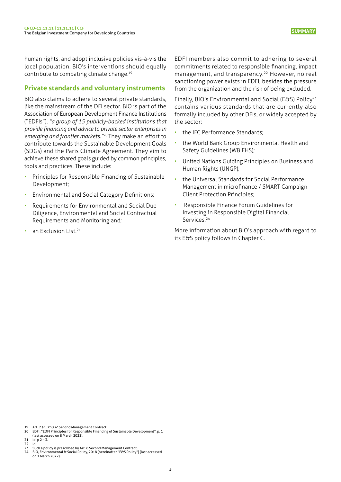<span id="page-4-0"></span>human rights, and adopt inclusive policies vis-à-vis the local population. BIO's interventions should equally contribute to combating climate change.<sup>19</sup>

## **Private standards and voluntary instruments**

BIO also claims to adhere to several private standards, like the mainstream of the DFI sector. BIO is part of the Association of European Development Finance Institutions ("EDFIs"), *"a group of 15 publicly-backed institutions that provide financing and advice to private sector enterprises in emerging and frontier markets."*20 They make an effort to contribute towards the Sustainable Development Goals (SDGs) and the Paris Climate Agreement. They aim to achieve these shared goals guided by common principles, tools and practices. These include:

- Principles for Responsible Financing of Sustainable Development;
- Environmental and Social Category Definitions;
- Requirements for Environmental and Social Due Diligence, Environmental and Social Contractual Requirements and Monitoring and;
- an Exclusion List.<sup>21</sup>

EDFI members also commit to adhering to several commitments related to responsible financing, impact management, and transparency.<sup>22</sup> However, no real sanctioning power exists in EDFI, besides the pressure from the organization and the risk of being excluded.

Finally, BIO's Environmental and Social (E&S) Policy<sup>23</sup> contains various standards that are currently also formally included by other DFIs, or widely accepted by the sector:

- the IFC Performance Standards;
- the World Bank Group Environmental Health and Safety Guidelines (WB EHS);
- United Nations Guiding Principles on Business and Human Rights (UNGP);
- the Universal Standards for Social Performance Management in microfinance / SMART Campaign Client Protection Principles;
- Responsible Finance Forum Guidelines for Investing in Responsible Digital Financial Services.<sup>24</sup>

More information about BIO's approach with regard to its E&S policy follows in Chapter C.

Art. 7 §1, 2° & 4° Second Management Contract.

<sup>20</sup> [EDFI, "EDFI Principles for Responsible Financing of Sustainable Development", p. 1](https://www.edfi.eu/wp/wp-content/uploads/2017/09/EDFI-Responsible-FinancingSDG_Principles_final_190515-1.pdf)  [\(last accessed on 8 March 2022\).](https://www.edfi.eu/wp/wp-content/uploads/2017/09/EDFI-Responsible-FinancingSDG_Principles_final_190515-1.pdf)

 $id. p 2 - 3.$ 

<sup>21&</sup>lt;br>22<br>23

<sup>23</sup> Such a policy is prescribed by Art. 8 Second Management Contract.<br>24 BIO, [Environmental](https://www.bio-invest.be/en/environmental-social-management) & Social Policy, 2018 (hereinafter "E&S Policy") (last accessed [on 1 March 2022\).](https://www.bio-invest.be/en/environmental-social-management)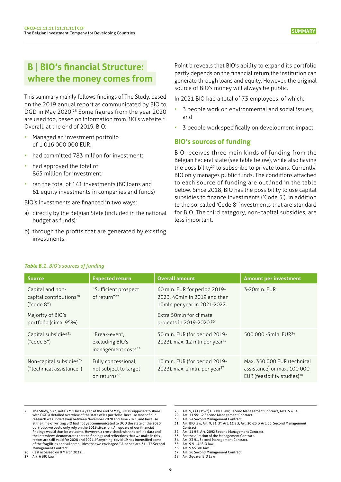# <span id="page-5-0"></span>**B** | **BIO's financial Structure: where the money comes from**

This summary mainly follows findings of The Study, based on the 2019 annual report as communicated by BIO to DGD in May 2020.<sup>25</sup> Some figures from the year 2020 are used too, based on information from BIO's website.26 Overall, at the end of 2019, BIO:

- Managed an investment portfolio of 1 016 000 000 EUR;
- had committed 783 million for investment;
- had approved the total of 865 million for investment;
- ran the total of 141 investments (80 loans and 61 equity investments in companies and funds)

BIO's investments are financed in two ways:

- a) directly by the Belgian State (included in the national budget as funds);
- b) through the profits that are generated by existing investments.

Point b reveals that BIO's ability to expand its portfolio partly depends on the financial return the institution can generate through loans and equity. However, the original source of BIO's money will always be public.

In 2021 BIO had a total of 73 employees, of which:

- 3 people work on environmental and social issues, and
- 3 people work specifically on development impact.

## **BIO's sources of funding**

BIO receives three main kinds of funding from the Belgian Federal state (see table below), while also having the possibility<sup>27</sup> to subscribe to private loans. Currently, BIO only manages public funds. The conditions attached to each source of funding are outlined in the table below. Since 2018, BIO has the possibility to use capital subsidies to finance investments ('Code 5'), in addition to the so-called 'Code 8' investments that are standard for BIO. The third category, non-capital subsidies, are less important.

| <b>Source</b>                                                         | <b>Expected return</b>                                                   | <b>Overall amount</b>                                                                        | <b>Amount per investment</b>                                                                          |
|-----------------------------------------------------------------------|--------------------------------------------------------------------------|----------------------------------------------------------------------------------------------|-------------------------------------------------------------------------------------------------------|
| Capital and non-<br>capital contributions <sup>28</sup><br>("code 8") | "Sufficient prospect<br>of return" <sup>29</sup>                         | 60 mln. EUR for period 2019-<br>2023, 40mln in 2019 and then<br>10mln per year in 2021-2022. | 3-20mln. EUR                                                                                          |
| Majority of BIO's<br>portfolio (circa. 95%)                           |                                                                          | Extra 50mln for climate<br>projects in 2019-2020. <sup>30</sup>                              |                                                                                                       |
| Capital subsidies <sup>31</sup><br>("code 5")                         | "Break-even",<br>excluding BIO's<br>management costs <sup>32</sup>       | 50 mln. EUR (for period 2019-<br>2023), max. 12 mln per year <sup>33</sup>                   | 500 000 -3mln. EUR <sup>34</sup>                                                                      |
| Non-capital subsidies <sup>35</sup><br>("technical assistance")       | Fully concessional,<br>not subject to target<br>on returns <sup>36</sup> | 10 mln. EUR (for period 2019-<br>2023), max. 2 mln. per year <sup>37</sup>                   | Max. 350 000 EUR (technical<br>assistance) or max. 100 000<br>EUR (feasibility studies) <sup>38</sup> |

#### *Table B.1. BIO's sources of funding*

[26 \(last](https://www.bio-invest.be/en/balance-sheet-and-income-statement ) accessed on 8 March 2022). 27 Art. 6 BIO Law.

28 Art. 9, §§1 (1°-2°) & 2 BIO Law; Second Management Contract, Arts. 53-54.<br>29 Art. 11 §§1 -2 Second Management Contract.

Art. 11 §§1 -2 Second Management Contract

- 32 Art. 11 § 3, Art. 20§2 Second Management Contract. 33 For the duration of the Management Contract.
- 
- 34 Art. 23 §1, Second Management Contract. 35 Art. 9 §1, 4° BIO law.
- 36 Art. 9 \$5 BIO law.<br>37 Art. 56 Second M<br>38 Art. 3quater BIO Art. 56 Second Management Contract Art. 3quater BIO Lav
- **6**

<sup>25</sup> The Study, p 23, note 32: "Once a year, at the end of May, BIO is supposed to share with DGD a detailed overview of the state of its portfolio. Because most of our research was undertaken between November 2020 and June 2021, and because at the time of writing BIO had not yet communicated to DGD the state of the 2020 portfolio, we could only rely on the 2019 situation. An update of our financial findings would thus be welcome. However, a cross-check with the online data and the interviews demonstrate that the findings and reflections that we make in this report are still valid for 2020 and 2021. If anything, covid-19 has intensified some of the fragilities and vulnerabilities that we envisaged." Also see art. 31 - 32 Second Management Contract.

<sup>30</sup> Art. 54 Second Management Contract. 31 Art. BIO law, Art. 9, §1, 3°. Art. 11 § 3, Art. 20-23 & Art. 55, Second Management **Contract**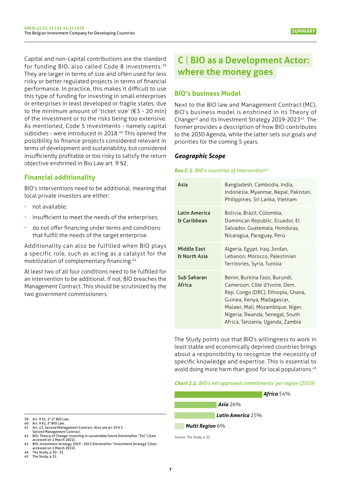<span id="page-6-0"></span>Capital and non-capital contributions are the standard for funding BIO, also called Code 8 investments.<sup>39</sup> They are larger in terms of size and often used for less risky or better regulated projects in terms of financial performance. In practice, this makes it difficult to use this type of funding for investing in small enterprises or enterprises in least developed or fragile states, due to the minimum amount of 'ticket size' ( $63 - 20$  mln) of the investment or to the risks being too extensive. As mentioned, Code 5 investments - namely capital subsidies - were introduced in 2018.<sup>40</sup> This opened the possibility to finance projects considered relevant in terms of development and sustainability, but considered insufficiently profitable or too risky to satisfy the return objective enshrined in Bio Law art. 9 §2.

# **Financial additionality**

BIO's interventions need to be additional, meaning that local private investors are either:

- not available;
- insufficient to meet the needs of the enterprises;
- do not offer financing under terms and conditions that fulfill the needs of the target enterprise.

Additionality can also be fulfilled when BIO plays a specific role, such as acting as a catalyst for the mobilization of complementary financing.<sup>41</sup>

At least two of all four conditions need to be fulfilled for an intervention to be additional. If not, BIO breaches the Management Contract. This should be scrutinized by the two government commissioners.

# **C** | **BIO as a Development Actor: where the money goes**

# **BIO's business Model**

Next to the BIO law and Management Contract (MC), BIO's business model is enshrined in its Theory of Change42 and its Investment Strategy 2019-202343. The former provides a description of how BIO contributes to the 2030 Agenda, while the latter sets out goals and priorities for the coming 5 years.

## *Geographic Scope*

#### **Box C.1.** BIO's countries of intervention<sup>44</sup>

| Asia                               | Bangladesh, Cambodia, India,<br>Indonesia, Myanmar, Nepal, Pakistan,<br>Philippines, Sri Lanka, Vietnam                                                                                                                                       |
|------------------------------------|-----------------------------------------------------------------------------------------------------------------------------------------------------------------------------------------------------------------------------------------------|
| Latin America<br>& Caribbean       | Bolivia, Brazil, Colombia,<br>Dominican Republic, Ecuador, El<br>Salvador, Guatemala, Honduras,<br>Nicaragua, Paraguay, Perú                                                                                                                  |
| <b>Middle East</b><br>& North Asia | Algeria, Egypt, Iraq, Jordan,<br>Lebanon, Morocco, Palestinian<br>Territories, Syria, Tunisia                                                                                                                                                 |
| Sub Saharan<br>Africa              | Benin, Burkina Faso, Burundi,<br>Cameroon, Côte d'Ivoire, Dem.<br>Rep. Congo (DRC), Ethiopia, Ghana,<br>Guinea, Kenya, Madagascar,<br>Malawi, Mali, Mozambique, Niger,<br>Nigeria, Rwanda, Senegal, South<br>Africa, Tanzania, Uganda, Zambia |

The Study points out that BIO's willingness to work in least stable and economically deprived countries brings about a responsibility to recognize the necessity of specific knowledge and expertise. This is essential to avoid doing more harm than good for local populations.<sup>45</sup>

#### *Chart 2.1. BIO's net approved commitments' per region (2019)*



*Source: The Study, p 32.* 

- 
- 41 Art. 12. Second Management Contract. Also see art 19 § 5

44 The Study, p 30 - 31. 45 The Study, p 31.

<sup>39</sup> Art. 9 §1, 1°-2° BIO Law. 40 Art. 9 §1, 3° BIO Law.

Second Management Contract. 42 BIO, Theory of Change: investing in sustainable future [\(hereinafter](https://www.bio-invest.be/en/theory-of-change) "ToC") (last

[accessed on 1 March 2022\).](https://www.bio-invest.be/en/theory-of-change)  43 BIO, Investment Strategy 2019 - 2023 (hereinafter ["Investment](https://www.bio-invest.be/en/our-investment-strategy) Strategy") (last [accessed on 1 March 2022\).](https://www.bio-invest.be/en/our-investment-strategy)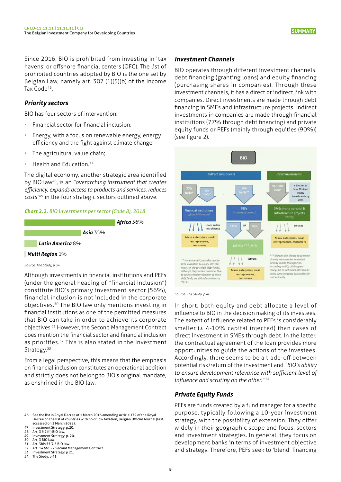<span id="page-7-0"></span>Since 2016, BIO is prohibited from investing in 'tax havens' or offshore financial centers (OFC). The list of prohibited countries adopted by BIO is the one set by Belgian Law, namely art. 307 (1)(5)(b) of the Income Tax Code<sup>46</sup>.

## *Priority sectors*

BIO has four sectors of intervention:

- Financial sector for financial inclusion;
- Energy, with a focus on renewable energy, energy efficiency and the fight against climate change;
- The agricultural value chain;
- Health and Education.<sup>47</sup>

The digital economy, another strategic area identified by BIO law48, is an *"overarching instrument that creates efficiency, expands access to products and services, reduces costs"*49 in the four strategic sectors outlined above.





#### *Source: The Study, p 34.*

Although investments in financial institutions and PEFs (under the general heading of "financial inclusion") constitute BIO's primary investment sector (56%), financial inclusion is not included in the corporate objectives.50 The BIO law only mentions investing in financial institutions as one of the permitted measures that BIO can take in order to achieve its corporate objectives.51 However, the Second Management Contract does mention the financial sector and financial inclusion as priorities.<sup>52</sup> This is also stated in the Investment Strategy.<sup>53</sup>

From a legal perspective, this means that the emphasis on financial inclusion constitutes an operational addition and strictly does not belong to BIO's original mandate, as enshrined in the BIO law.

#### *Investment Channels*

BIO operates through different investment channels: debt financing (granting loans) and equity financing (purchasing shares in companies). Through these investment channels, it has a direct or indirect link with companies. Direct investments are made through debt financing in SMEs and infrastructure projects. Indirect investments in companies are made through financial institutions (77% through debt financing) and private equity funds or PEFs (mainly through equities (90%)) (see figure 2).



#### *Source : The Study, p 40.*

In short, both equity and debt allocate a level of influence to BIO in the decision making of its investees. The extent of influence related to PEFs is considerably smaller (± 4-10% capital injected) than cases of direct investment in SMEs through debt. In the latter, the contractual agreement of the loan provides more opportunities to guide the actions of the investees. Accordingly, there seems to be a trade-off between potential risk/return of the investment and *"BIO's ability to ensure development relevance with sufficient level of influence and scrutiny on the other."* <sup>54</sup>

#### *Private Equity Funds*

PEFs are funds created by a fund manager for a specific purpose, typically following a 10-year investment strategy, with the possibility of extension. They differ widely in their geographic scope and focus, sectors and investment strategies. In general, they focus on development banks in terms of investment objective and strategy. Therefore, PEFs seek to 'blend' financing

<sup>46</sup> See the list in Royal Decree of 1 March 2016 [amending](http://www.ejustice.just.fgov.be/eli/arrete/2016/03/01/2016003097/moniteur) Article 179 of the Royal Decree on the list of [countries](http://www.ejustice.just.fgov.be/eli/arrete/2016/03/01/2016003097/moniteur) with no or low taxation, Belgian Official Journal (last [accessed on 1 March 2022\).](http://www.ejustice.just.fgov.be/eli/arrete/2016/03/01/2016003097/moniteur)

<sup>47</sup> Investment Strategy, p.20.<br>48 Art. 3 § 2 (ii) BIO law,<br>49 Investment Strategy, p. 20. Art. 3 § 2 (ii) BIO law

<sup>49</sup> Investment Strategy, p. 20.<br>50 Art. 3 BIO Law.<br>51 Art. 3bis §§ 3-5 BIO law.

<sup>50</sup> Art. 3 BIO Law. 51 Art. 3bis §§ 3-5 BIO law.

<sup>52</sup> Art. 14 §§1 - 2 Second Management Contract.<br>53 Investment Strategy, p 21.<br>54 The Study n 41

<sup>53</sup> Investment Strategy, p 21. 54 The Study, p 41.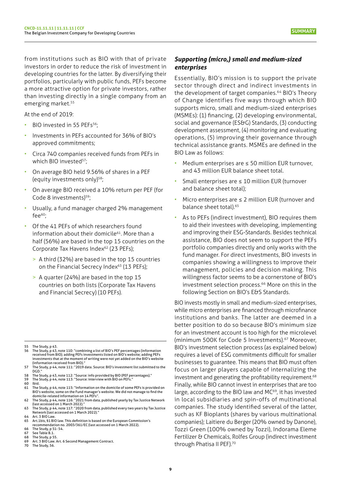**SUMMARY**

<span id="page-8-0"></span>from institutions such as BIO with that of private investors in order to reduce the risk of investment in developing countries for the latter. By diversifying their portfolios, particularly with public funds, PEFs become a more attractive option for private investors, rather than investing directly in a single company from an emerging market.<sup>55</sup>

At the end of 2019:

- BIO invested in 55 PEFs<sup>56</sup>:
- Investments in PEFs accounted for 36% of BIO's approved commitments;
- Circa 740 companies received funds from PEFs in which BIO invested<sup>57</sup>;
- On average BIO held 9.56% of shares in a PEF (equity investments only)58;
- On average BIO received a 10% return per PEF (for Code 8 investments)<sup>59</sup>;
- Usually, a fund manager charged 2% management fee $60$ ;
- Of the 41 PEFs of which researchers found information about their domicile<sup>61</sup>. More than a half (56%) are based in the top 15 countries on the Corporate Tax Havens Index<sup>62</sup> (23 PEFs);
	- > A third (32%) are based in the top 15 countries on the Financial Secrecy Index<sup>63</sup> (13 PEFs):
	- > A quarter (24%) are based in the top 15 countries on both lists (Corporate Tax Havens and Financial Secrecy) (10 PEFs).

55 The Study, p 43.

- 56 The Study, p 43, note 110: "combining a list of BIO's PEF percentages (information<br>received from BIO); adding PEFs investments listed on BIO's website; adding PEFs investments that at the moment of writing were not yet added on the BIO's website (information received from BIO)."
- 57 The Study, p 44, note 111: "2019 data. Source: BIO's investment list submitted to the DGD."
- 58 The Study, p 43, note 112: "Source: info provided by BIO (PEF percentages)."<br>59 The Study, p 44, note 113: "Source: interview with BIO on PEFs."
- 60 Ibid.
- 61 The Study, p 44, note 115: "Information on the domicile of some PEFs is provided on BIO's website, some on the Fund manager's website. We did not manage to find the

- Art.1bis, §1 BIO law. This definition is based on the European [Commission's](https://eur-lex.europa.eu/legal-content/EN/TXT/PDF/?uri=CELEX:32003H0361&from=EN) [recommendation](https://eur-lex.europa.eu/legal-content/EN/TXT/PDF/?uri=CELEX:32003H0361&from=EN) no. 2003/361/EC (last accessed on 1 March 2022).
- 66 The Study, p 51- 54.<br>67 See Table B.1. See Table B.1.
- 
- 68 The Study, p 55.<br>69 Art. 3 BIO Law. Art. 6 Second Management Contract.
- 70 The Study, 56.

# *Supporting (micro,) small and medium-sized enterprises*

Essentially, BIO's mission is to support the private sector through direct and indirect investments in the development of target companies.<sup>64</sup> BIO's Theory of Change identifies five ways through which BIO supports micro, small and medium-sized enterprises (MSMEs): (1) financing, (2) developing environmental, social and governance (ES&G) Standards, (3) conducting development assessment, (4) monitoring and evaluating operations, (5) improving their governance through technical assistance grants. MSMEs are defined in the BIO Law as follows:

- Medium enterprises are  $\leq$  50 million EUR turnover, and 43 million EUR balance sheet total.
- Small enterprises are ≤ 10 million EUR (turnover and balance sheet total);
- Micro enterprises are  $\leq$  2 million EUR (turnover and balance sheet total).<sup>65</sup>
- As to PEFs (indirect investment), BIO requires them to aid their investees with developing, implementing and improving their ESG-Standards. Besides technical assistance, BIO does not seem to support the PEFs portfolio companies directly and only works with the fund manager. For direct investments, BIO invests in companies showing a willingness to improve their management, policies and decision making. This willingness factor seems to be a cornerstone of BIO's investment selection process.<sup>66</sup> More on this in the following Section on BIO's E&S Standards.

BIO invests mostly in small and medium-sized enterprises, while micro enterprises are financed through microfinance institutions and banks. The latter are deemed in a better position to do so because BIO's minimum size for an investment account is too high for the microlevel (minimum 500K for Code 5 Investments).<sup>67</sup> Moreover, BIO's investment selection process (as explained below) requires a level of ESG commitments difficult for smaller businesses to guarantee. This means that BIO must often focus on larger players capable of internalizing the investment and generating the profitability requirement.<sup>68</sup> Finally, while BIO cannot invest in enterprises that are too large, according to the BIO law and MC<sup>69</sup>, it has invested in local subsidiaries and spin-offs of multinational companies. The study identified several of the latter, such as KF Bioplants (shares by various multinational companies); Laitiere du Berger (20% owned by Danone), Tozzi Green (100% owned by Tozzi), Indorama Eleme Fertilizer & Chemicals, Rolfes Group (indirect investment through Phatisa II PEF).70

domicile-related information on 14 PEFs". 62 The Study, p 44, note 116: "2021 from data, [published](https://cthi.taxjustice.net/en/) yearly by Tax Justice Network [\(last accessed on 1 March 2022\)."](https://cthi.taxjustice.net/en/)  63 The Study, p 44, note 117: "2020 from data, [published](https://fsi.taxjustice.net/en) every two years by Tax Justice

Network (last [accessed](https://fsi.taxjustice.net/en) on 1 March 2022)."

<sup>64</sup> Art. 3 BIO Law.<br>65 Art. 1 bis. § 1 BI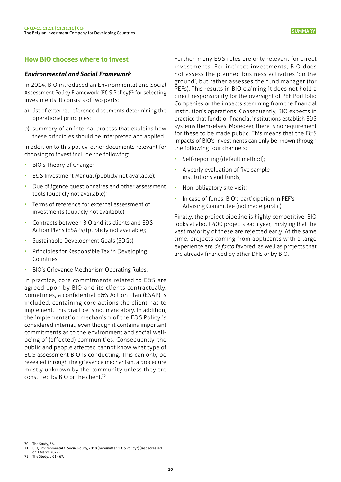# <span id="page-9-0"></span>**How BIO chooses where to invest**

#### *Environmental and Social Framework*

In 2014, BIO introduced an Environmental and Social Assessment Policy Framework (E&S Policy)<sup>71</sup> for selecting investments. It consists of two parts:

- a) list of external reference documents determining the operational principles;
- b) summary of an internal process that explains how these principles should be interpreted and applied.

In addition to this policy, other documents relevant for choosing to invest include the following:

- BIO's Theory of Change;
- E&S Investment Manual (publicly not available);
- Due diligence questionnaires and other assessment tools (publicly not available);
- Terms of reference for external assessment of investments (publicly not available);
- Contracts between BIO and its clients and E&S Action Plans (ESAPs) (publicly not available);
- Sustainable Development Goals (SDGs);
- Principles for Responsible Tax in Developing Countries;
- BIO's Grievance Mechanism Operating Rules.

In practice, core commitments related to E&S are agreed upon by BIO and its clients contractually. Sometimes, a confidential E&S Action Plan (ESAP) is included, containing core actions the client has to implement. This practice is not mandatory. In addition, the implementation mechanism of the E&S Policy is considered internal, even though it contains important commitments as to the environment and social wellbeing of (affected) communities. Consequently, the public and people affected cannot know what type of E&S assessment BIO is conducting. This can only be revealed through the grievance mechanism, a procedure mostly unknown by the community unless they are consulted by BIO or the client.72

Further, many E&S rules are only relevant for direct investments. For indirect investments, BIO does not assess the planned business activities 'on the ground', but rather assesses the fund manager (for PEFs). This results in BIO claiming it does not hold a direct responsibility for the oversight of PEF Portfolio Companies or the impacts stemming from the financial institution's operations. Consequently, BIO expects in practice that funds or financial institutions establish E&S systems themselves. Moreover, there is no requirement for these to be made public. This means that the E&S impacts of BIO's Investments can only be known through the following four channels:

- Self-reporting (default method);
- A yearly evaluation of five sample institutions and funds;
- Non-obligatory site visit;
- In case of funds, BIO's participation in PEF's Advising Committee (not made public).

Finally, the project pipeline is highly competitive. BIO looks at about 400 projects each year, implying that the vast majority of these are rejected early. At the same time, projects coming from applicants with a large experience are *de facto* favored, as well as projects that are already financed by other DFIs or by BIO.

<sup>70</sup> The Study, 56.

<sup>71</sup> BIO, [Environmental](https://www.bio-invest.be/en/environmental-social-management) & Social Policy, 2018 (hereinafter "E&S Policy") (last accessed

[on 1 March 2022\).](https://www.bio-invest.be/en/environmental-social-management) 72 The Study, p 61 - 67.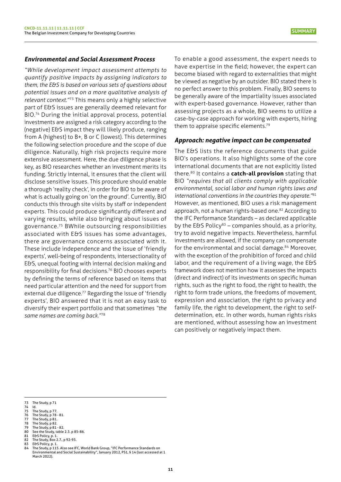## <span id="page-10-0"></span>*Environmental and Social Assessment Process*

*"While development impact assessment attempts to quantify positive impacts by assigning indicators to them, the E&S is based on various sets of questions about potential issues and on a more qualitative analysis of relevant context."*<sup>73</sup> This means only a highly selective part of E&S issues are generally deemed relevant for BIO.74 During the initial approval process, potential investments are assigned a risk category according to the (negative) E&S impact they will likely produce, ranging from A (highest) to B+, B or C (lowest). This determines the following selection procedure and the scope of due diligence. Naturally, high risk projects require more extensive assessment. Here, the due diligence phase is key, as BIO researches whether an investment merits its funding. Strictly internal, it ensures that the client will disclose sensitive issues. This procedure should enable a thorough 'reality check', in order for BIO to be aware of what is actually going on 'on the ground'. Currently, BIO conducts this through site visits by staff or independent experts. This could produce significantly different and varying results, while also bringing about issues of governance.75 BWhile outsourcing responsibilities associated with E&S issues has some advantages, there are governance concerns associated with it. These include independence and the issue of 'friendly experts', well-being of respondents, intersectionality of E&S, unequal footing with internal decision making and responsibility for final decisions.76 BIO chooses experts by defining the terms of reference based on items that need particular attention and the need for support from external due diligence.<sup>77</sup> Regarding the issue of 'friendly experts', BIO answered that it is not an easy task to diversify their expert portfolio and that sometimes *"the same names are coming back."*<sup>78</sup>

To enable a good assessment, the expert needs to have expertise in the field; however, the expert can become biased with regard to externalities that might be viewed as negative by an outsider. BIO stated there is no perfect answer to this problem. Finally, BIO seems to be generally aware of the impartiality issues associated with expert-based governance. However, rather than assessing projects as a whole, BIO seems to utilize a case-by-case approach for working with experts, hiring them to appraise specific elements.<sup>79</sup>

#### *Approach: negative impact can be compensated*

The E&S lists the reference documents that guide BIO's operations. It also highlights some of the core international documents that are not explicitly listed there.80 It contains a **catch-all provision** stating that BIO *"requires that all clients comply with applicable environmental, social labor and human rights laws and international conventions in the countries they operate."*<sup>81</sup> However, as mentioned, BIO uses a risk management approach, not a human rights-based one.<sup>82</sup> According to the IFC Performance Standards – as declared applicable by the E&S Policy<sup>83</sup> – companies should, as a priority, try to avoid negative impacts. Nevertheless, harmful investments are allowed, if the company can compensate for the environmental and social damage.<sup>84</sup> Moreover, with the exception of the prohibition of forced and child labor, and the requirement of a living wage, the E&S framework does not mention how it assesses the impacts (direct and indirect) of its investments on specific human rights, such as the right to food, the right to health, the right to form trade unions, the freedoms of movement, expression and association, the right to privacy and family life, the right to development, the right to selfdetermination, etc. In other words, human rights risks are mentioned, without assessing how an investment can positively or negatively impact them.

- 76 The Study, p 78 81. 77 The Study, p 81.
- 77 The Study, p 73<br>
78 The Study, p 81.<br>
79 The Study, p 81
- 79 The Study,  $p 81 82$ .<br>80 See the Study, table<br>81 E& SPolicy, p. 1.
- 80 See the Study, table 2.3. p 85-86.<br>81 E&S Policy, p. 1.
- 82 The Study, Box 2.7., p 92-93.<br>83 F&S Policy n 1
- **E&S Policy, p. 1.**
- 84 The Study, p 115. Also see IFC, World Bank Group, "IFC [Performance](https://www.ifc.org/wps/wcm/connect/c02c2e86-e6cd-4b55-95a2-b3395d204279/IFC_Performance_Standards.pdf?MOD=AJPERES&CVID=kTjHBzk) Standards on Environmental and Social [Sustainability",](https://www.ifc.org/wps/wcm/connect/c02c2e86-e6cd-4b55-95a2-b3395d204279/IFC_Performance_Standards.pdf?MOD=AJPERES&CVID=kTjHBzk) January 2012, PS1, § 14 (last accessed at 1 [March 2022\).](https://www.ifc.org/wps/wcm/connect/c02c2e86-e6cd-4b55-95a2-b3395d204279/IFC_Performance_Standards.pdf?MOD=AJPERES&CVID=kTjHBzk)

The Study, p 71 73 Th<br>74 Id.<br>75 Th<br>76 Th

The Study, p 77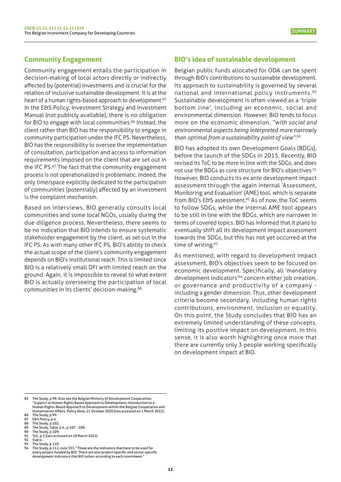# <span id="page-11-0"></span>**Community Engagement**

Community engagement entails the participation in decision-making of local actors directly or indirectly affected by (potential) investments and is crucial for the relation of inclusive sustainable development. It is at the heart of a human rights-based approach to development.<sup>85</sup> In the E&S Policy, Investment Strategy and Investment Manual (not publicly available), there is no obligation for BIO to engage with local communities.<sup>86</sup> Instead, the client rather than BIO has the responsibility to engage in community participation under the IFC PS. Nevertheless, BIO has the responsibility to oversee the implementation of consultation, participation and access to information requirements imposed on the client that are set out in the IFC PS.87 The fact that the community engagement process is not operationalized is problematic. Indeed, the only time/space explicitly dedicated to the participation of communities (potentially) affected by an investment is the complaint mechanism.

Based on interviews, BIO generally consults local communities and some local NGOs, usually during the due diligence process. Nevertheless, there seems to be no indication that BIO intends to ensure systematic stakeholder engagement by the client, as set out in the IFC PS. As with many other IFC PS, BIO's ability to check the actual scope of the client's community engagement depends on BIO's institutional reach. This is limited since BIO is a relatively small DFI with limited reach on the ground. Again, it is impossible to reveal to what extent BIO is actually overseeing the participation of local communities in its clients' decision-making.88

## **BIO's idea of sustainable development**

Belgian public funds allocated for ODA can be spent through BIO's contributions to sustainable development. Its approach to sustainability is governed by several national and international policy instruments.89 Sustainable development is often viewed as a 'triple bottom line', including an economic, social and environmental dimension. However, BIO tends to focus more on the economic dimension, *"with social and environmental aspects being interpreted more narrowly than optimal from a sustainability point of view".*<sup>90</sup>

BIO has adopted its own Development Goals (BDGs), before the launch of the SDGs in 2015. Recently, BIO revised its ToC to be more in line with the SDGs, and does not use the BDGs as core structure for BIO's objectives.<sup>91</sup> However, BIO conducts its ex ante development impact assessment through the again internal 'Assessment, Monitoring and Evaluation' (AME) tool, which is separate from BIO's E&S assessment.<sup>92</sup> As of now, the ToC seems to follow SDGs, while the internal AME tool appears to be still in line with the BDGs, which are narrower in terms of covered topics. BIO has informed that it plans to eventually shift all its development impact assessment towards the SDGs, but this has not yet occurred at the time of writing.<sup>93</sup>

As mentioned, with regard to development impact assessment, BIO's objectives seem to be focused on economic development. Specifically, all 'mandatory development indicators'94 concern either job creation, or governance and productivity of a company including a gender dimension. Thus, other development criteria become secondary, including human rights contributions, environment, inclusion or equality. On this point, the Study concludes that BIO has an extremely limited understanding of these concepts, limiting its positive impact on development. In this sense, it is also worth highlighting once more that there are currently only 3 people working specifically on development impact at BIO.

<sup>85</sup> The Study, p 99. Also see the Belgian Ministry of [Development](https://www.ngo-federatie.be/system/files/2021-02/HRBADIntroductoryNote_WithAnnexGuidingQuestions.pdf) Cooperation "Support to Human Rights Based Approach to [Development:](https://www.ngo-federatie.be/system/files/2021-02/HRBADIntroductoryNote_WithAnnexGuidingQuestions.pdf) Introduction to a Human Rights-Based Approach to [Development](https://www.ngo-federatie.be/system/files/2021-02/HRBADIntroductoryNote_WithAnnexGuidingQuestions.pdf) within the Belgian Cooperation and [Humanitarian](https://www.ngo-federatie.be/system/files/2021-02/HRBADIntroductoryNote_WithAnnexGuidingQuestions.pdf) Affairs, Policy Note, 21 October 2020 (last accessed on 1 March 2022).

<sup>86</sup> The Study, p 99.<br>87 E&S Policy, p 4.

<sup>87</sup> E&S Policy, p 4.<br>88 The Study n 10

<sup>88</sup> The Study, p 102.<br>89 The Study, Table

<sup>89</sup> The Study, Table 2.4., p 107 - 108.<br>90 The Study, p 109.<br>91 ToC, p 3 (last accessed on 10 Marc

<sup>90</sup> The Study, p 109. 91 ToC, p 3 (last [accessed](https://www.bio-invest.be/files/BIO-invest/Our-Impact/ToC/ToC_Digital_V3c.pdf) on 10 March 2022)

<sup>92</sup> Supra.<br>93 The St The Study, p 110.

The Study, p 112, note 353: "These are the indicators that have to be used for every project funded by BIO. There are also project-specific and sector-specific development indicators that BIO tailors according to each investment."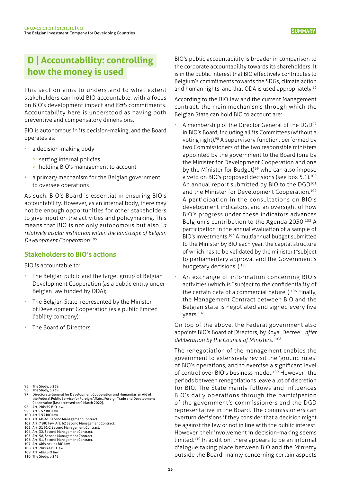# <span id="page-12-0"></span>**D** | **Accountability: controlling how the money is used**

This section aims to understand to what extent stakeholders can hold BIO accountable, with a focus on BIO's development impact and E&S commitments. Accountability here is understood as having both preventive and compensatory dimensions.

BIO is autonomous in its decision-making, and the Board operates as:

- a decision-making body
	- > setting internal policies
	- > holding BIO's management to account
- a primary mechanism for the Belgian government to oversee operations

As such, BIO's Board is essential in ensuring BIO's accountability. However, as an internal body, there may not be enough opportunities for other stakeholders to give input on the activities and policymaking. This means that BIO is not only autonomous but also *"a relatively insular institution within the landscape of Belgian Development Cooperation".*<sup>95</sup>

# **Stakeholders to BIO's actions**

BIO is accountable to:

- The Belgian public and the target group of Belgian Development Cooperation (as a public entity under Belgian law funded by ODA);
- The Belgian State, represented by the Minister of Development Cooperation (as a public limited liability company);
- The Board of Directors.

- 
- 101 Art. 60-61 Second Management Contract.<br>102 Art. 7 BIO law, Art. 62 Second Management Contract.
- 103 Art. 31 §1-2 Second Management Contract.
- 104 Art. 32, Second Management Contract. 105 Art. 58, Second Management Contract.
- 106 Art. 51, Second Management Contract. 107 Art. 4bis-sexies BIO law.
- 108 Art. 2bis §4 BIO law.
- 
- 109 Art. 4bis BIO law. 110 The Study, p 242.

BIO's public accountability is broader in comparison to the corporate accountability towards its shareholders. It is in the public interest that BIO effectively contributes to Belgium's commitments towards the SDGs, climate action and human rights, and that ODA is used appropriately.<sup>96</sup>

According to the BIO law and the current Management contract, the main mechanisms through which the Belgian State can hold BIO to account are:

- A membership of the Director General of the DGD<sup>97</sup> in BIO's Board, including all its Committees (without a voting right).98 A supervisory function, performed by two Commissioners of the two responsible ministers appointed by the government to the Board (one by the Minister for Development Cooperation and one by the Minister for Budget)<sup>99</sup> who can also impose a veto on BIO's proposed decisions (see box 5.1).<sup>100</sup> An annual report submitted by BIO to the DGD<sup>101</sup> and the Minister for Development Cooperation.<sup>102</sup> A participation in the consultations on BIO's development indicators, and an oversight of how BIO's progress under these indicators advances Belgium's contribution to the Agenda 2030.103 A participation in the annual evaluation of a sample of BIO's investments.104 A multiannual budget submitted to the Minister by BIO each year, the capital structure of which has to be validated by the minister ("subject to parliamentary approval and the Government's budgetary decisions").105
- An exchange of information concerning BIO's activities (which is "subject to the confidentiality of the certain data of a commercial nature").<sup>106</sup> Finally, the Management Contract between BIO and the Belgian state is negotiated and signed every five years.107

On top of the above, the Federal government also appoints BIO's Board of Directors, by Royal Decree *"after deliberation by the Council of Ministers."*<sup>108</sup>

The renegotiation of the management enables the government to extensively revisit the 'ground rules' of BIO's operations, and to exercise a significant level of control over BIO's business model.<sup>109</sup> However, the periods between renegotiations leave a lot of discretion for BIO. The State mainly follows and influences BIO's daily operations through the participation of the government's commissioners and the DGD representative in the Board. The commissioners can overturn decisions if they consider that a decision might be against the law or not in line with the public interest. However, their involvement in decision-making seems limited.110 In addition, there appears to be an informal dialogue taking place between BIO and the Ministry outside the Board, mainly concerning certain aspects

<sup>95</sup> The Study, p 239.

<sup>96</sup> The Study, p 239.<br>97 Directorate Gene Directorate General for Development Cooperation and Humanitarian Aid of the Federal Public Service for Foreign Affairs, Foreign Trade and [Development](https://diplomatie.belgium.be/nl/over_de_organisatie/organogram_en_structuur/dgd) [Cooperation \(last accessed on 0 March 2022\).](https://diplomatie.belgium.be/nl/over_de_organisatie/organogram_en_structuur/dgd) 98 Art. 2bis §9 BIO law.

Art.5 §2 BIO law. 100 Art.5 §3 BIO law.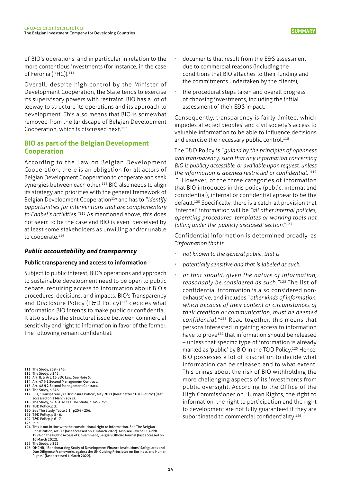<span id="page-13-0"></span>of BIO's operations, and in particular in relation to the more contentious investments (for instance, in the case of Feronia (PHC)).<sup>111</sup>

Overall, despite high control by the Minister of Development Cooperation, the State tends to exercise its supervisory powers with restraint. BIO has a lot of leeway to structure its operations and its approach to development. This also means that BIO is somewhat removed from the landscape of Belgian Development Cooperation, which is discussed next.<sup>112</sup>

# **BIO as part of the Belgian Development Cooperation**

According to the Law on Belgian Development Cooperation, there is an obligation for all actors of Belgian Development Cooperation to cooperate and seek synergies between each other.113 BIO also needs to align its strategy and priorities with the general framework of Belgian Development Cooperation<sup>114</sup> and has to "*identify opportunities for interventions that are complementary to Enabel's activities."*115 As mentioned above, this does not seem to be the case and BIO is even perceived by at least some stakeholders as unwilling and/or unable to cooperate.<sup>116</sup>

# *Public accountability and transparency*

## **Public transparency and access to information**

Subject to public interest, BIO's operations and approach to sustainable development need to be open to public debate, requiring access to information about BIO's procedures, decisions, and impacts. BIO's Transparency and Disclosure Policy (T&D Policy)<sup>117</sup> decides what information BIO intends to make public or confidential. It also solves the structural issue between commercial sensitivity and right to information in favor of the former. The following remain confidential:

118 The Study, p 64. Also see The Study, p 249 - 251.

- 
- 121 T&D Policy, p 5 6.
- documents that result from the E&S assessment due to commercial reasons (including the conditions that BIO attaches to their funding and the commitments undertaken by the clients),
- the procedural steps taken and overall progress of choosing investments, including the initial assessment of their E&S impact.

Consequently, transparency is fairly limited, which impedes affected peoples' and civil society's access to valuable information to be able to influence decisions and exercise the necessary public control.<sup>118</sup>

The T&D Policy is *"guided by the principles of openness and transparency, such that any information concerning BIO is publicly accessible, or available upon request, unless the information is deemed restricted or confidential."*<sup>119</sup> ." However, of the three categories of information that BIO introduces in this policy (public, internal and confidential), internal or confidential appear to be the default.120 Specifically, there is a catch-all provision that 'internal' information will be *"all other internal policies, operating procedures, templates or working tools not falling under the 'publicly disclosed' section."*<sup>121</sup>

Confidential information is determined broadly, as *"information that is* 

- *not known to the general public, that is*
- *potentially sensitive and that is labeled as such,*
- *or that should, given the nature of information, reasonably be considered as such."*122 The list of confidential information is also considered nonexhaustive, and includes *"other kinds of information, which because of their content or circumstances of their creation or communication, must be deemed confidential."*123 Read together, this means that persons interested in gaining access to information have to prove<sup>124</sup> that information should be released – unless that specific type of information is already marked as 'public' by BIO in the T&D Policy.<sup>125</sup> Hence, BIO possesses a lot of discretion to decide what information can be released and to what extent. This brings about the risk of BIO withholding the more challenging aspects of its investments from public oversight. According to the Office of the High Commissioner on Human Rights, the right to information, the right to participation and the right to development are not fully guaranteed if they are subordinated to commercial confidentiality.<sup>126</sup>

<sup>111</sup> The Study, 239 - 243.

<sup>112</sup> The Study, p 245. 113 Art. 8, & Art. 13 BDC Law. See Note 5.

<sup>114</sup> Art. 47 § 1 Second Management Contract. 114 Art. 47 S 1 Second Management Contract.

<sup>116</sup> The Study, p 246.<br>117 BIO, ["Transparency](https://www.bio-invest.be/files/BIO-invest/About-BIO/Governance/20210525_BIO-Disclosure-Policy_Approved) & Disclosure Policy", May 2021 (hereinafter "T&D Policy") (last [accessed on 1 March 2022\).](https://www.bio-invest.be/files/BIO-invest/About-BIO/Governance/20210525_BIO-Disclosure-Policy_Approved) 

<sup>119</sup> T&D Policy, p 3. 120 See The Study, Table 5.1., p254 - 256.

<sup>122</sup> T&D Policy, p 6 - 7. 123 Ibid.

<sup>124</sup> This is not in line with the [constitutional](https://www.senate.be/doc/const_nl.html) right to information. See The Belgian [Constitution,](https://www.senate.be/doc/const_nl.html) art. 32 (last accessed on 10 March 2022). Also see Law of 11 [APRIL](https://www.ejustice.just.fgov.be/cgi_loi/change_lg.pl?language=nl&la=N&table_name=wet&cn=1994041151) 1994 on the Public Access of [Government,](https://www.ejustice.just.fgov.be/cgi_loi/change_lg.pl?language=nl&la=N&table_name=wet&cn=1994041151) Belgian Official Journal (last accessed on [10 March 2022\).](https://www.ejustice.just.fgov.be/cgi_loi/change_lg.pl?language=nl&la=N&table_name=wet&cn=1994041151) 125 The Study, p 252.

<sup>126</sup> OHCHR, ["Benchmarking](https://www.ohchr.org/EN/Issues/Development/Pages/DFI.aspx) Study of Development Finance Institutions' Safeguards and Due Diligence [Frameworks](https://www.ohchr.org/EN/Issues/Development/Pages/DFI.aspx) against the UN Guiding Principles on Business and Human [Rights" \(last accessed 1 March 2022\).](https://www.ohchr.org/EN/Issues/Development/Pages/DFI.aspx)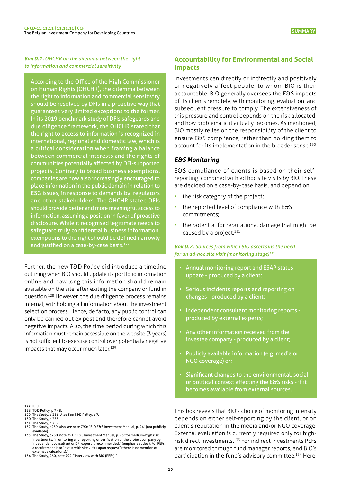<span id="page-14-0"></span>*Box D.1. OHCHR on the dilemma between the right to information and commercial sensitivity* 

According to the Office of the High Commissioner on Human Rights (OHCHR), the dilemma between the right to information and commercial sensitivity should be resolved by DFIs in a proactive way that guarantees very limited exceptions to the former. In its 2019 benchmark study of DFIs safeguards and due diligence framework, the OHCHR stated that the right to access to information is recognized in international, regional and domestic law, which is a critical consideration when framing a balance between commercial interests and the rights of communities potentially affected by DFI-supported projects. Contrary to broad business exemptions, companies are now also increasingly encouraged to place information in the public domain in relation to ESG issues, in response to demands by regulators and other stakeholders. The OHCHR stated DFIs should provide better and more meaningful access to information, assuming a position in favor of proactive disclosure. While it recognised legitimate needs to safeguard truly confidential business information, exemptions to the right should be defined narrowly and justified on a case-by-case basis.<sup>127</sup>

Further, the new T&D Policy did introduce a timeline outlining when BIO should update its portfolio information online and how long this information should remain available on the site, after exiting the company or fund in question.128 However, the due diligence process remains internal, withholding all information about the investment selection process. Hence, de facto, any public control can only be carried out ex post and therefore cannot avoid negative impacts. Also, the time period during which this information must remain accessible on the website (3 years) is not sufficient to exercise control over potentially negative impacts that may occur much later.<sup>129</sup>

129 The Study, p 256. Also See T&D Policy, p 7.

- 
- 132 The Study, p259, also see note 790: "BIO E&S Investment Manual, p. 24" (not publicly available). 133 The Study, p260, note 791: "E&S Investment Manual, p. 23; for medium-high risk

## **Accountability for Environmental and Social Impacts**

Investments can directly or indirectly and positively or negatively affect people, to whom BIO is then accountable. BIO generally oversees the E&S impacts of its clients remotely, with monitoring, evaluation, and subsequent pressure to comply. The extensiveness of this pressure and control depends on the risk allocated, and how problematic it actually becomes. As mentioned, BIO mostly relies on the responsibility of the client to ensure E&S compliance, rather than holding them to account for its implementation in the broader sense.<sup>130</sup>

#### *E&S Monitoring*

E&S compliance of clients is based on their selfreporting, combined with ad hoc site visits by BIO. These are decided on a case-by-case basis, and depend on:

- the risk category of the project;
- the reported level of compliance with E&S commitments;
- the potential for reputational damage that might be caused by a project.<sup>131</sup>

#### *Box D.2. Sources from which BIO ascertains the need for an ad-hoc site visit (monitoring stage)132*

- Annual monitoring report and ESAP status update - produced by a client;
- Serious incidents reports and reporting on changes - produced by a client;
- Independent consultant monitoring reports produced by external experts;
- Any other information received from the investee company - produced by a client;
- Publicly available information (e.g. media or NGO coverage) or;
- Significant changes to the environmental, social or political context affecting the E&S risks - if it becomes available from external sources.

This box reveals that BIO's choice of monitoring intensity depends on either self-reporting by the client, or on client's reputation in the media and/or NGO coverage. External evaluation is currently required only for highrisk direct investments.133 For indirect investments PEFs are monitored through fund manager reports, and BIO's participation in the fund's advisory committee.<sup>134</sup> Here,

<sup>127</sup> Ibid.

<sup>127 1010.&</sup>lt;br>128 T&D Policy, p 7 - 8.

<sup>130</sup> The Study, p 258. 131 The Study, p 259.

investments, "monitoring and reporting or verification of the project company by independent consultant or DFI expert is recommended." (emphasis added). For PEFs, a requirement is to "assist with site visits upon request" (there is no mention of external evaluations)."

<sup>134</sup> The Study, 260, note 792: "Interview with BIO (PEFs)."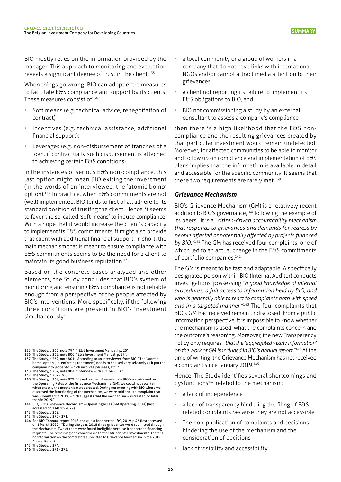<span id="page-15-0"></span>BIO mostly relies on the information provided by the manager. This approach to monitoring and evaluation reveals a significant degree of trust in the client.<sup>135</sup>

When things go wrong, BIO can adopt extra measures to facilitate E&S compliance and support by its clients. These measures consist of $136$ 

- Soft means (e.g. technical advice, renegotiation of contract);
- Incentives (e.g. technical assistance, additional financial support);
- Leverages (e.g. non-disbursement of tranches of a loan, if contractually such disbursement is attached to achieving certain E&S conditions).

In the instances of serious E&S non-compliance, this last option might mean BIO exiting the investment (in the words of an interviewee: the 'atomic bomb' option).137 In practice, when E&S commitments are not (well) implemented, BIO tends to first of all adhere to its standard position of trusting the client. Hence, it seems to favor the so-called 'soft means' to induce compliance. With a hope that it would increase the client's capacity to implement its E&S commitments, it might also provide that client with additional financial support. In short, the main mechanism that is meant to ensure compliance with E&S commitments seems to be the need for a client to maintain its good business reputation.138

Based on the concrete cases analyzed and other elements, the Study concludes that BIO's system of monitoring and ensuring E&S compliance is not reliable enough from a perspective of the people affected by BIO's interventions. More specifically, if the following three conditions are present in BIO's investment simultaneously:

- 
- 135 The Study, p 260, note 794: "[E&S Investment Manual], p. 25".<br>136 The Study, p 262, note 800: "E&S Investment Manual, p. 27".<br>137 The Study, p 262, note 801: "According to an interviewee from BIO, "The 'atomic

- 
- 138 The Study, p 262, note 804: "Interview with BIO on PEFs."<br>139 The Study, p 267 268.<br>140 The Study, p 269, note 829: "Based on the information on BIO's website and on the Operating Rules of the Grievance Mechanisms (GM), we could not ascertain when exactly the mechanism was created. During our meeting with BIO where we discussed the functioning of the mechanism, we were told about a complaint that was submitted in 2019, which suggests that the mechanism was created no later than in 2019."
- 141 [BIO, BIO's Grievance Mechanism Operating Rules \(GM Operating Rules\) \(last](https://www.bio-invest.be/files/BIO-invest/Grievance-Mechanism/Grievance-Mechanism-Operating-Rules_EN.pdf)  [accessed on 1 March 2022\).](https://www.bio-invest.be/files/BIO-invest/Grievance-Mechanism/Grievance-Mechanism-Operating-Rules_EN.pdf)
- 142 The Study, p 269. 143 The Study, p 270 271.
- a local community or a group of workers in a company that do not have links with international NGOs and/or cannot attract media attention to their grievances,
- a client not reporting its failure to implement its E&S obligations to BIO, and
- BIO not commissioning a study by an external consultant to assess a company's compliance

then there is a high likelihood that the E&S noncompliance and the resulting grievances created by that particular investment would remain undetected. Moreover, for affected communities to be able to monitor and follow up on compliance and implementation of E&S plans implies that the information is available in detail and accessible for the specific community. It seems that these two requirements are rarely met.<sup>139</sup>

#### *Grievance Mechanism*

BIO's Grievance Mechanism (GM) is a relatively recent addition to BIO's governance,<sup>140</sup> following the example of its peers. It is a *"citizen-driven accountability mechanism that responds to grievances and demands for redress by people affected or potentially affected by projects financed by BIO."*141 The GM has received four complaints, one of which led to an actual change in the E&S commitments of portfolio companies.<sup>142</sup>

The GM is meant to be fast and adaptable. A specifically designated person within BIO (Internal Auditor) conducts investigations, possessing *"a good knowledge of internal procedures, a full access to information held by BIO, and who is generally able to react to complaints both with speed and in a targeted manner."*143 The four complaints that BIO's GM had received remain undisclosed. From a public information perspective, it is impossible to know whether the mechanism is used, what the complaints concern and the outcome's reasoning. Moreover, the new Transparency Policy only requires *"that the 'aggregated yearly information' on the work of GM is included in BIO's annual report."*144 At the time of writing, the Grievance Mechanism has not received a complaint since January 2019.<sup>145</sup>

Hence, The Study identifies several shortcomings and dysfunctions<sup>146</sup> related to the mechanism:

- a lack of independence
- a lack of transparency hindering the filing of E&Srelated complaints because they are not accessible
- The non-publication of complaints and decisions hindering the use of the mechanism and the consideration of decisions
- lack of visibility and accessibility

bomb' option (i.e. enforcing repayment) needs to be used very seldomly as it put the company into jeopardy (which involves job loses, etc)."

<sup>144</sup> See BIO, "Annual report 2018: the quest for a better life", 2019, p 46 (last [accessed](https://www.bio-invest.be/files/BIO-invest/About-BIO/Annual-Report/2018/BIO_AnnualReport2018_EN_LR.pdf) on 1 March 2022): "During the year, 2018 three [grievances](https://www.bio-invest.be/files/BIO-invest/About-BIO/Annual-Report/2018/BIO_AnnualReport2018_EN_LR.pdf) were submitted through the [Mechanism.](https://www.bio-invest.be/files/BIO-invest/About-BIO/Annual-Report/2018/BIO_AnnualReport2018_EN_LR.pdf) Two of them were found ineligible because it concerned financing [requests. The remaining one concerned a former African SME investment." There is](https://www.bio-invest.be/files/BIO-invest/About-BIO/Annual-Report/2018/BIO_AnnualReport2018_EN_LR.pdf)  no [information](https://www.bio-invest.be/files/BIO-invest/About-BIO/Annual-Report/2018/BIO_AnnualReport2018_EN_LR.pdf) on the complaints submitted to Grievance Mechanism in the 2019 [Annual Report.](https://www.bio-invest.be/files/BIO-invest/About-BIO/Annual-Report/2018/BIO_AnnualReport2018_EN_LR.pdf)

<sup>145</sup> The Study, p 274. 146 The Study, p 271 - 273.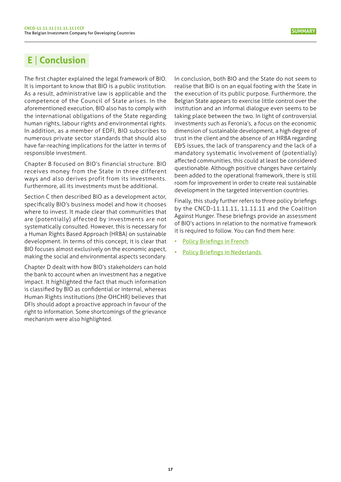# <span id="page-16-0"></span>**E** | **Conclusion**

The first chapter explained the legal framework of BIO. It is important to know that BIO is a public institution. As a result, administrative law is applicable and the competence of the Council of State arises. In the aforementioned execution, BIO also has to comply with the international obligations of the State regarding human rights, labour rights and environmental rights. In addition, as a member of EDFI, BIO subscribes to numerous private sector standards that should also have far-reaching implications for the latter in terms of responsible investment.

Chapter B focused on BIO's financial structure. BIO receives money from the State in three different ways and also derives profit from its investments. Furthermore, all its investments must be additional.

Section C then described BIO as a development actor, specifically BIO's business model and how it chooses where to invest. It made clear that communities that are (potentially) affected by investments are not systematically consulted. However, this is necessary for a Human Rights Based Approach (HRBA) on sustainable development. In terms of this concept, it is clear that BIO focuses almost exclusively on the economic aspect, making the social and environmental aspects secondary.

Chapter D dealt with how BIO's stakeholders can hold the bank to account when an investment has a negative impact. It highlighted the fact that much information is classified by BIO as confidential or internal, whereas Human Rights institutions (the OHCHR) believes that DFIs should adopt a proactive approach in favour of the right to information. Some shortcomings of the grievance mechanism were also highlighted.

In conclusion, both BIO and the State do not seem to realise that BIO is on an equal footing with the State in the execution of its public purpose. Furthermore, the Belgian State appears to exercise little control over the institution and an informal dialogue even seems to be taking place between the two. In light of controversial investments such as Feronia's, a focus on the economic dimension of sustainable development, a high degree of trust in the client and the absence of an HRBA regarding E&S issues, the lack of transparency and the lack of a mandatory systematic involvement of (potentially) affected communities, this could at least be considered questionable. Although positive changes have certainly been added to the operational framework, there is still room for improvement in order to create real sustainable development in the targeted intervention countries.

Finally, this study further refers to three policy briefings by the CNCD-11.11.11, 11.11.11 and the Coalition Against Hunger. These briefings provide an assessment of BIO's actions in relation to the normative framework it is required to follow. You can find them here:

- Policy [Briefings](https://www.cncd.be/etude-impact-BIO) in French
- **Policy [Briefings](https://www.cncd.be/etude-impact-BIO) in Nederlands**